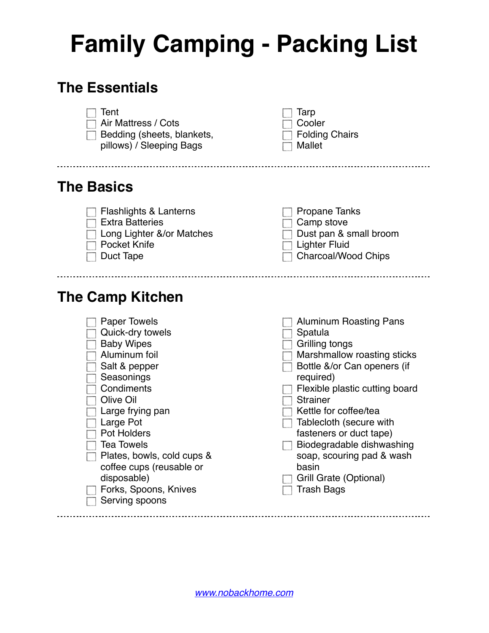## **Family Camping - Packing List**

## **The Essentials**

 $\Box$  Large Pot Pot Holders  $\Box$  Tea Towels

disposable)

 $\Box$  Serving spoons

Plates, bowls, cold cups & coffee cups (reusable or

Forks, Spoons, Knives



| $\Box$ Kettle for coffee/tea |  |  |  |
|------------------------------|--|--|--|
|------------------------------|--|--|--|

- $\Box$  Tablecloth (secure with fasteners or duct tape)
- $\Box$  Biodegradable dishwashing soap, scouring pad & wash basin
- Grill Grate (Optional)
- $\Box$  Trash Bags